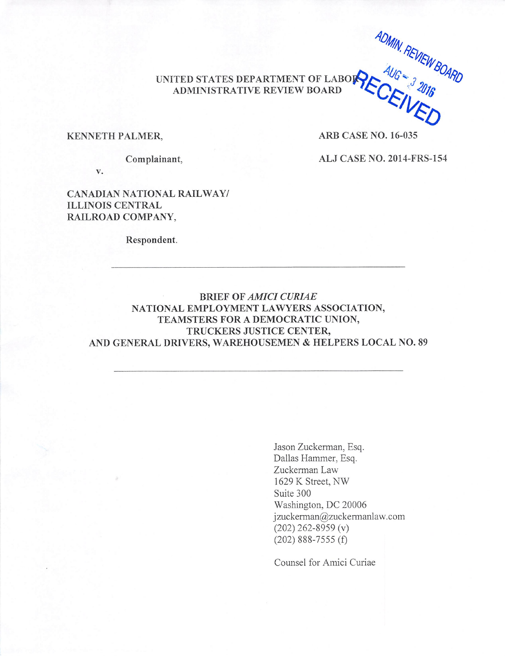ADMIN. REVIEW BOARD

#### **KENNETH PALMER,**

**ARB CASE NO. 16-035** 

Complainant,

ALJ CASE NO. 2014-FRS-154

 $V_{\bullet}$ 

**CANADIAN NATIONAL RAILWAY/ ILLINOIS CENTRAL** RAILROAD COMPANY.

Respondent.

## **BRIEF OF AMICI CURIAE** NATIONAL EMPLOYMENT LAWYERS ASSOCIATION, TEAMSTERS FOR A DEMOCRATIC UNION, TRUCKERS JUSTICE CENTER, AND GENERAL DRIVERS, WAREHOUSEMEN & HELPERS LOCAL NO. 89

Jason Zuckerman, Esq. Dallas Hammer, Esq. Zuckerman Law 1629 K Street, NW Suite 300 Washington, DC 20006 jzuckerman@zuckermanlaw.com  $(202)$  262-8959 (v)  $(202)$  888-7555 $(f)$ 

Counsel for Amici Curiae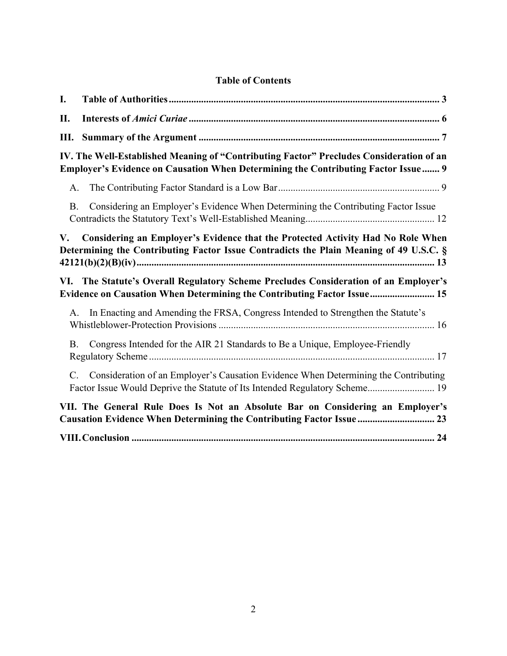| I.                                                                                                                                                                              |                                                                                                                                                                    |  |  |  |
|---------------------------------------------------------------------------------------------------------------------------------------------------------------------------------|--------------------------------------------------------------------------------------------------------------------------------------------------------------------|--|--|--|
| П.                                                                                                                                                                              |                                                                                                                                                                    |  |  |  |
| Ш.                                                                                                                                                                              |                                                                                                                                                                    |  |  |  |
| IV. The Well-Established Meaning of "Contributing Factor" Precludes Consideration of an<br>Employer's Evidence on Causation When Determining the Contributing Factor Issue 9    |                                                                                                                                                                    |  |  |  |
| A.                                                                                                                                                                              |                                                                                                                                                                    |  |  |  |
| <b>B.</b>                                                                                                                                                                       | Considering an Employer's Evidence When Determining the Contributing Factor Issue                                                                                  |  |  |  |
| Considering an Employer's Evidence that the Protected Activity Had No Role When<br>V.<br>Determining the Contributing Factor Issue Contradicts the Plain Meaning of 49 U.S.C. § |                                                                                                                                                                    |  |  |  |
| The Statute's Overall Regulatory Scheme Precludes Consideration of an Employer's<br>VI.<br>Evidence on Causation When Determining the Contributing Factor Issue 15              |                                                                                                                                                                    |  |  |  |
| A.                                                                                                                                                                              | In Enacting and Amending the FRSA, Congress Intended to Strengthen the Statute's                                                                                   |  |  |  |
| <b>B.</b>                                                                                                                                                                       | Congress Intended for the AIR 21 Standards to Be a Unique, Employee-Friendly                                                                                       |  |  |  |
| $C_{\cdot}$                                                                                                                                                                     | Consideration of an Employer's Causation Evidence When Determining the Contributing<br>Factor Issue Would Deprive the Statute of Its Intended Regulatory Scheme 19 |  |  |  |
| VII. The General Rule Does Is Not an Absolute Bar on Considering an Employer's<br>Causation Evidence When Determining the Contributing Factor Issue  23                         |                                                                                                                                                                    |  |  |  |
|                                                                                                                                                                                 |                                                                                                                                                                    |  |  |  |

# **Table of Contents**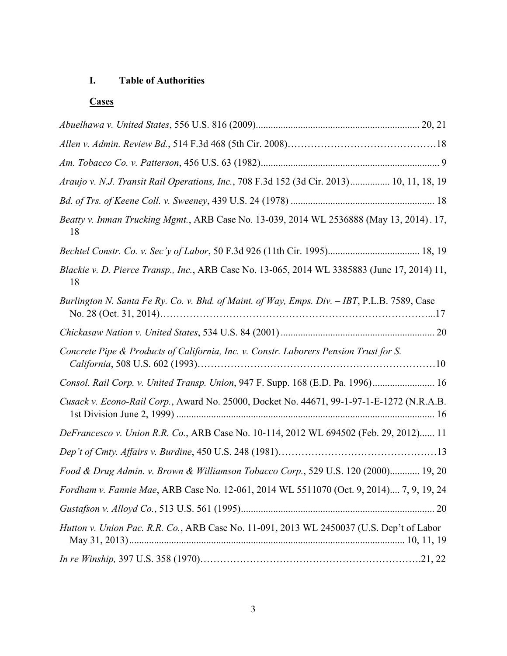# **I. Table of Authorities**

# **Cases**

| Araujo v. N.J. Transit Rail Operations, Inc., 708 F.3d 152 (3d Cir. 2013) 10, 11, 18, 19           |  |
|----------------------------------------------------------------------------------------------------|--|
|                                                                                                    |  |
| Beatty v. Inman Trucking Mgmt., ARB Case No. 13-039, 2014 WL 2536888 (May 13, 2014). 17,<br>18     |  |
|                                                                                                    |  |
| Blackie v. D. Pierce Transp., Inc., ARB Case No. 13-065, 2014 WL 3385883 (June 17, 2014) 11,<br>18 |  |
| Burlington N. Santa Fe Ry. Co. v. Bhd. of Maint. of Way, Emps. Div. - IBT, P.L.B. 7589, Case       |  |
|                                                                                                    |  |
| Concrete Pipe & Products of California, Inc. v. Constr. Laborers Pension Trust for S.              |  |
| Consol. Rail Corp. v. United Transp. Union, 947 F. Supp. 168 (E.D. Pa. 1996) 16                    |  |
| Cusack v. Econo-Rail Corp., Award No. 25000, Docket No. 44671, 99-1-97-1-E-1272 (N.R.A.B.          |  |
| DeFrancesco v. Union R.R. Co., ARB Case No. 10-114, 2012 WL 694502 (Feb. 29, 2012) 11              |  |
|                                                                                                    |  |
| Food & Drug Admin. v. Brown & Williamson Tobacco Corp., 529 U.S. 120 (2000) 19, 20                 |  |
| Fordham v. Fannie Mae, ARB Case No. 12-061, 2014 WL 5511070 (Oct. 9, 2014) 7, 9, 19, 24            |  |
|                                                                                                    |  |
| Hutton v. Union Pac. R.R. Co., ARB Case No. 11-091, 2013 WL 2450037 (U.S. Dep't of Labor           |  |
|                                                                                                    |  |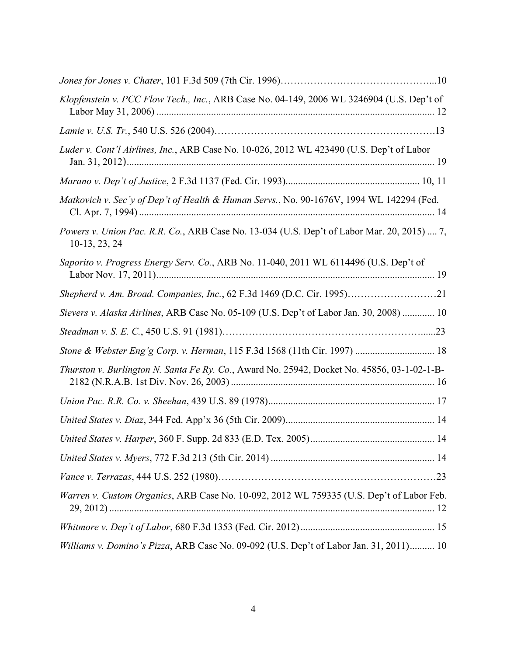| Klopfenstein v. PCC Flow Tech., Inc., ARB Case No. 04-149, 2006 WL 3246904 (U.S. Dep't of                     |
|---------------------------------------------------------------------------------------------------------------|
|                                                                                                               |
| Luder v. Cont'l Airlines, Inc., ARB Case No. 10-026, 2012 WL 423490 (U.S. Dep't of Labor                      |
|                                                                                                               |
| Matkovich v. Sec'y of Dep't of Health & Human Servs., No. 90-1676V, 1994 WL 142294 (Fed.                      |
| Powers v. Union Pac. R.R. Co., ARB Case No. 13-034 (U.S. Dep't of Labor Mar. 20, 2015)  7,<br>$10-13, 23, 24$ |
| Saporito v. Progress Energy Serv. Co., ARB No. 11-040, 2011 WL 6114496 (U.S. Dep't of                         |
|                                                                                                               |
| Sievers v. Alaska Airlines, ARB Case No. 05-109 (U.S. Dep't of Labor Jan. 30, 2008)  10                       |
|                                                                                                               |
| Stone & Webster Eng'g Corp. v. Herman, 115 F.3d 1568 (11th Cir. 1997)  18                                     |
| Thurston v. Burlington N. Santa Fe Ry. Co., Award No. 25942, Docket No. 45856, 03-1-02-1-B-                   |
|                                                                                                               |
|                                                                                                               |
|                                                                                                               |
|                                                                                                               |
|                                                                                                               |
| Warren v. Custom Organics, ARB Case No. 10-092, 2012 WL 759335 (U.S. Dep't of Labor Feb.                      |
|                                                                                                               |
| Williams v. Domino's Pizza, ARB Case No. 09-092 (U.S. Dep't of Labor Jan. 31, 2011) 10                        |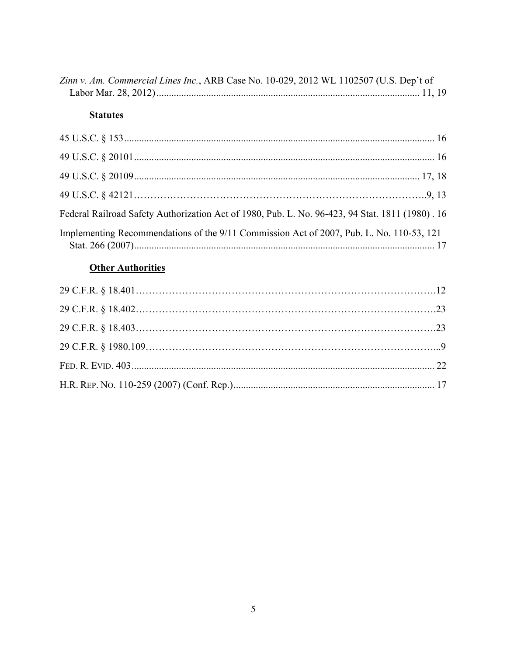| Zinn v. Am. Commercial Lines Inc., ARB Case No. 10-029, 2012 WL 1102507 (U.S. Dep't of |  |
|----------------------------------------------------------------------------------------|--|
|                                                                                        |  |

# **Statutes**

| Federal Railroad Safety Authorization Act of 1980, Pub. L. No. 96-423, 94 Stat. 1811 (1980). 16 |  |
|-------------------------------------------------------------------------------------------------|--|
| Implementing Recommendations of the 9/11 Commission Act of 2007, Pub. L. No. 110-53, 121        |  |

# **Other Authorities**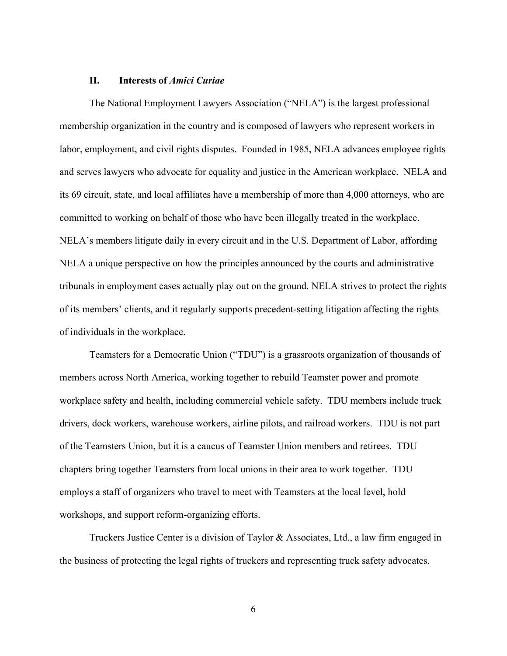#### **II. Interests of** *Amici Curiae*

The National Employment Lawyers Association ("NELA") is the largest professional membership organization in the country and is composed of lawyers who represent workers in labor, employment, and civil rights disputes. Founded in 1985, NELA advances employee rights and serves lawyers who advocate for equality and justice in the American workplace. NELA and its 69 circuit, state, and local affiliates have a membership of more than 4,000 attorneys, who are committed to working on behalf of those who have been illegally treated in the workplace. NELA's members litigate daily in every circuit and in the U.S. Department of Labor, affording NELA a unique perspective on how the principles announced by the courts and administrative tribunals in employment cases actually play out on the ground. NELA strives to protect the rights of its members' clients, and it regularly supports precedent-setting litigation affecting the rights of individuals in the workplace.

Teamsters for a Democratic Union ("TDU") is a grassroots organization of thousands of members across North America, working together to rebuild Teamster power and promote workplace safety and health, including commercial vehicle safety. TDU members include truck drivers, dock workers, warehouse workers, airline pilots, and railroad workers. TDU is not part of the Teamsters Union, but it is a caucus of Teamster Union members and retirees. TDU chapters bring together Teamsters from local unions in their area to work together. TDU employs a staff of organizers who travel to meet with Teamsters at the local level, hold workshops, and support reform-organizing efforts.

Truckers Justice Center is a division of Taylor & Associates, Ltd., a law firm engaged in the business of protecting the legal rights of truckers and representing truck safety advocates.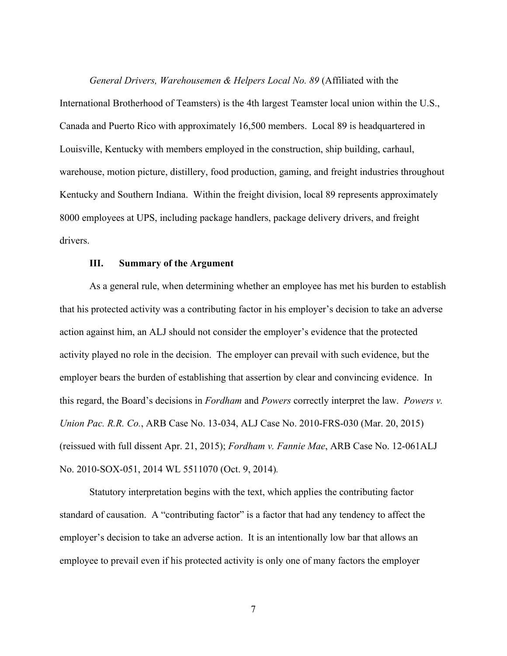*General Drivers, Warehousemen & Helpers Local No. 89* (Affiliated with the International Brotherhood of Teamsters) is the 4th largest Teamster local union within the U.S., Canada and Puerto Rico with approximately 16,500 members. Local 89 is headquartered in Louisville, Kentucky with members employed in the construction, ship building, carhaul, warehouse, motion picture, distillery, food production, gaming, and freight industries throughout Kentucky and Southern Indiana. Within the freight division, local 89 represents approximately 8000 employees at UPS, including package handlers, package delivery drivers, and freight drivers.

#### **III. Summary of the Argument**

As a general rule, when determining whether an employee has met his burden to establish that his protected activity was a contributing factor in his employer's decision to take an adverse action against him, an ALJ should not consider the employer's evidence that the protected activity played no role in the decision. The employer can prevail with such evidence, but the employer bears the burden of establishing that assertion by clear and convincing evidence. In this regard, the Board's decisions in *Fordham* and *Powers* correctly interpret the law. *Powers v. Union Pac. R.R. Co.*, ARB Case No. 13-034, ALJ Case No. 2010-FRS-030 (Mar. 20, 2015) (reissued with full dissent Apr. 21, 2015); *Fordham v. Fannie Mae*, ARB Case No. 12-061ALJ No. 2010-SOX-051, 2014 WL 5511070 (Oct. 9, 2014)*.*

Statutory interpretation begins with the text, which applies the contributing factor standard of causation. A "contributing factor" is a factor that had any tendency to affect the employer's decision to take an adverse action. It is an intentionally low bar that allows an employee to prevail even if his protected activity is only one of many factors the employer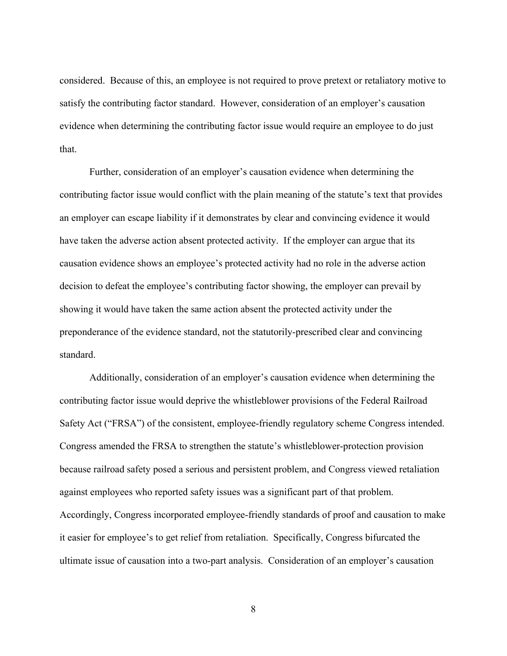considered. Because of this, an employee is not required to prove pretext or retaliatory motive to satisfy the contributing factor standard. However, consideration of an employer's causation evidence when determining the contributing factor issue would require an employee to do just that.

Further, consideration of an employer's causation evidence when determining the contributing factor issue would conflict with the plain meaning of the statute's text that provides an employer can escape liability if it demonstrates by clear and convincing evidence it would have taken the adverse action absent protected activity. If the employer can argue that its causation evidence shows an employee's protected activity had no role in the adverse action decision to defeat the employee's contributing factor showing, the employer can prevail by showing it would have taken the same action absent the protected activity under the preponderance of the evidence standard, not the statutorily-prescribed clear and convincing standard.

Additionally, consideration of an employer's causation evidence when determining the contributing factor issue would deprive the whistleblower provisions of the Federal Railroad Safety Act ("FRSA") of the consistent, employee-friendly regulatory scheme Congress intended. Congress amended the FRSA to strengthen the statute's whistleblower-protection provision because railroad safety posed a serious and persistent problem, and Congress viewed retaliation against employees who reported safety issues was a significant part of that problem. Accordingly, Congress incorporated employee-friendly standards of proof and causation to make it easier for employee's to get relief from retaliation. Specifically, Congress bifurcated the ultimate issue of causation into a two-part analysis. Consideration of an employer's causation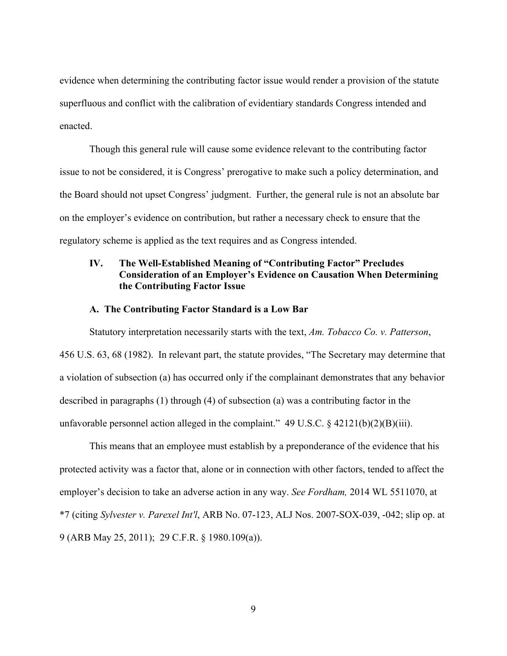evidence when determining the contributing factor issue would render a provision of the statute superfluous and conflict with the calibration of evidentiary standards Congress intended and enacted.

Though this general rule will cause some evidence relevant to the contributing factor issue to not be considered, it is Congress' prerogative to make such a policy determination, and the Board should not upset Congress' judgment. Further, the general rule is not an absolute bar on the employer's evidence on contribution, but rather a necessary check to ensure that the regulatory scheme is applied as the text requires and as Congress intended.

## **IV. The Well-Established Meaning of "Contributing Factor" Precludes Consideration of an Employer's Evidence on Causation When Determining the Contributing Factor Issue**

#### **A. The Contributing Factor Standard is a Low Bar**

Statutory interpretation necessarily starts with the text, *Am. Tobacco Co. v. Patterson*, 456 U.S. 63, 68 (1982). In relevant part, the statute provides, "The Secretary may determine that a violation of subsection (a) has occurred only if the complainant demonstrates that any behavior described in paragraphs (1) through (4) of subsection (a) was a contributing factor in the unfavorable personnel action alleged in the complaint."  $49 \text{ U.S.C.}$  §  $42121(b)(2)(B)(iii)$ .

This means that an employee must establish by a preponderance of the evidence that his protected activity was a factor that, alone or in connection with other factors, tended to affect the employer's decision to take an adverse action in any way. *See Fordham,* 2014 WL 5511070, at \*7 (citing *Sylvester v. Parexel Int'l*, ARB No. 07-123, ALJ Nos. 2007-SOX-039, -042; slip op. at 9 (ARB May 25, 2011); 29 C.F.R. § 1980.109(a)).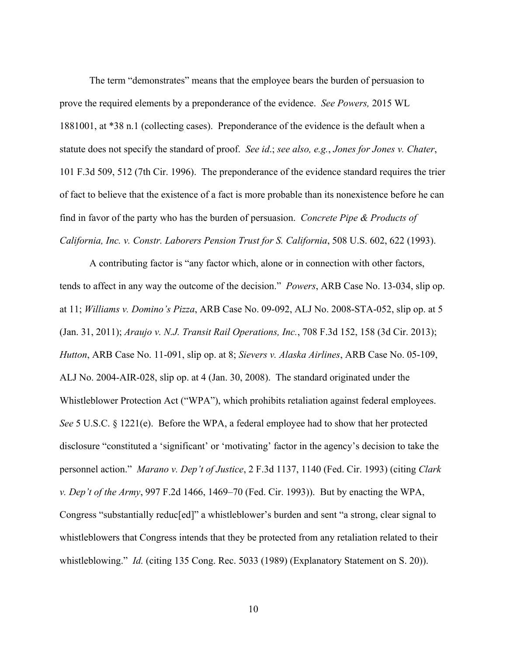The term "demonstrates" means that the employee bears the burden of persuasion to prove the required elements by a preponderance of the evidence. *See Powers,* 2015 WL 1881001, at \*38 n.1 (collecting cases). Preponderance of the evidence is the default when a statute does not specify the standard of proof. *See id*.; *see also, e.g.*, *Jones for Jones v. Chater*, 101 F.3d 509, 512 (7th Cir. 1996). The preponderance of the evidence standard requires the trier of fact to believe that the existence of a fact is more probable than its nonexistence before he can find in favor of the party who has the burden of persuasion. *Concrete Pipe & Products of California, Inc. v. Constr. Laborers Pension Trust for S. California*, 508 U.S. 602, 622 (1993).

A contributing factor is "any factor which, alone or in connection with other factors, tends to affect in any way the outcome of the decision." *Powers*, ARB Case No. 13-034, slip op. at 11; *Williams v. Domino's Pizza*, ARB Case No. 09-092, ALJ No. 2008-STA-052, slip op. at 5 (Jan. 31, 2011); *Araujo v. N.J. Transit Rail Operations, Inc.*, 708 F.3d 152, 158 (3d Cir. 2013); *Hutton*, ARB Case No. 11-091, slip op. at 8; *Sievers v. Alaska Airlines*, ARB Case No. 05-109, ALJ No. 2004-AIR-028, slip op. at 4 (Jan. 30, 2008). The standard originated under the Whistleblower Protection Act ("WPA"), which prohibits retaliation against federal employees. *See* 5 U.S.C. § 1221(e). Before the WPA, a federal employee had to show that her protected disclosure "constituted a 'significant' or 'motivating' factor in the agency's decision to take the personnel action." *Marano v. Dep't of Justice*, 2 F.3d 1137, 1140 (Fed. Cir. 1993) (citing *Clark v. Dep't of the Army*, 997 F.2d 1466, 1469–70 (Fed. Cir. 1993)). But by enacting the WPA, Congress "substantially reduc[ed]" a whistleblower's burden and sent "a strong, clear signal to whistleblowers that Congress intends that they be protected from any retaliation related to their whistleblowing." *Id.* (citing 135 Cong. Rec. 5033 (1989) (Explanatory Statement on S. 20)).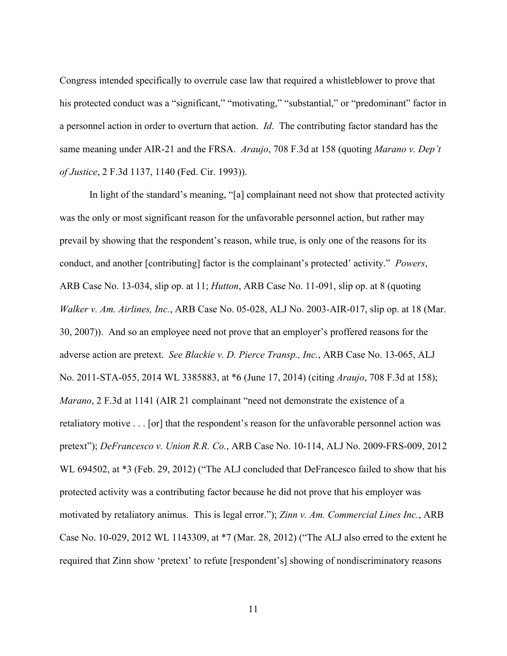Congress intended specifically to overrule case law that required a whistleblower to prove that his protected conduct was a "significant," "motivating," "substantial," or "predominant" factor in a personnel action in order to overturn that action. *Id*. The contributing factor standard has the same meaning under AIR-21 and the FRSA. *Araujo*, 708 F.3d at 158 (quoting *Marano v. Dep't of Justice*, 2 F.3d 1137, 1140 (Fed. Cir. 1993)).

In light of the standard's meaning, "[a] complainant need not show that protected activity was the only or most significant reason for the unfavorable personnel action, but rather may prevail by showing that the respondent's reason, while true, is only one of the reasons for its conduct, and another [contributing] factor is the complainant's protected' activity." *Powers*, ARB Case No. 13-034, slip op. at 11; *Hutton*, ARB Case No. 11-091, slip op. at 8 (quoting *Walker v. Am. Airlines, Inc.*, ARB Case No. 05-028, ALJ No. 2003-AIR-017, slip op. at 18 (Mar. 30, 2007)). And so an employee need not prove that an employer's proffered reasons for the adverse action are pretext. *See Blackie v. D. Pierce Transp., Inc.*, ARB Case No. 13-065, ALJ No. 2011-STA-055, 2014 WL 3385883, at \*6 (June 17, 2014) (citing *Araujo*, 708 F.3d at 158); *Marano*, 2 F.3d at 1141 (AIR 21 complainant "need not demonstrate the existence of a retaliatory motive . . . [or] that the respondent's reason for the unfavorable personnel action was pretext"); *DeFrancesco v. Union R.R. Co.*, ARB Case No. 10-114, ALJ No. 2009-FRS-009, 2012 WL 694502, at \*3 (Feb. 29, 2012) ("The ALJ concluded that DeFrancesco failed to show that his protected activity was a contributing factor because he did not prove that his employer was motivated by retaliatory animus. This is legal error."); *Zinn v. Am. Commercial Lines Inc.*, ARB Case No. 10-029, 2012 WL 1143309, at \*7 (Mar. 28, 2012) ("The ALJ also erred to the extent he required that Zinn show 'pretext' to refute [respondent's] showing of nondiscriminatory reasons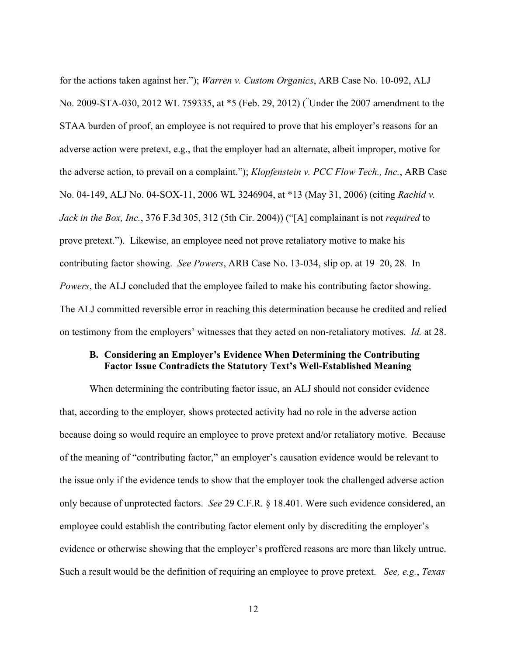for the actions taken against her."); *Warren v. Custom Organics*, ARB Case No. 10-092, ALJ No. 2009-STA-030, 2012 WL 759335, at \*5 (Feb. 29, 2012) ( " Under the 2007 amendment to the STAA burden of proof, an employee is not required to prove that his employer's reasons for an adverse action were pretext, e.g., that the employer had an alternate, albeit improper, motive for the adverse action, to prevail on a complaint."); *Klopfenstein v. PCC Flow Tech., Inc.*, ARB Case No. 04-149, ALJ No. 04-SOX-11, 2006 WL 3246904, at \*13 (May 31, 2006) (citing *Rachid v. Jack in the Box, Inc.*, 376 F.3d 305, 312 (5th Cir. 2004)) ("[A] complainant is not *required* to prove pretext."). Likewise, an employee need not prove retaliatory motive to make his contributing factor showing. *See Powers*, ARB Case No. 13-034, slip op. at 19–20, 28*.* In *Powers*, the ALJ concluded that the employee failed to make his contributing factor showing. The ALJ committed reversible error in reaching this determination because he credited and relied on testimony from the employers' witnesses that they acted on non-retaliatory motives. *Id.* at 28.

#### **B. Considering an Employer's Evidence When Determining the Contributing Factor Issue Contradicts the Statutory Text's Well-Established Meaning**

When determining the contributing factor issue, an ALJ should not consider evidence that, according to the employer, shows protected activity had no role in the adverse action because doing so would require an employee to prove pretext and/or retaliatory motive. Because of the meaning of "contributing factor," an employer's causation evidence would be relevant to the issue only if the evidence tends to show that the employer took the challenged adverse action only because of unprotected factors. *See* 29 C.F.R. § 18.401. Were such evidence considered, an employee could establish the contributing factor element only by discrediting the employer's evidence or otherwise showing that the employer's proffered reasons are more than likely untrue. Such a result would be the definition of requiring an employee to prove pretext. *See, e.g.*, *Texas*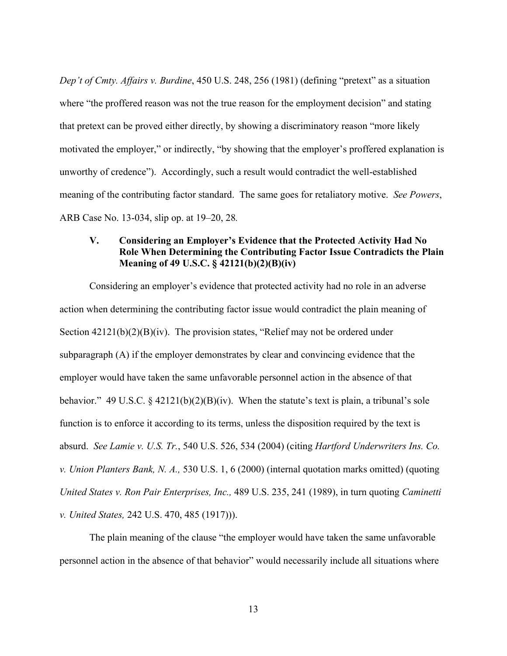*Dep't of Cmty. Affairs v. Burdine*, 450 U.S. 248, 256 (1981) (defining "pretext" as a situation where "the proffered reason was not the true reason for the employment decision" and stating that pretext can be proved either directly, by showing a discriminatory reason "more likely motivated the employer," or indirectly, "by showing that the employer's proffered explanation is unworthy of credence"). Accordingly, such a result would contradict the well-established meaning of the contributing factor standard. The same goes for retaliatory motive. *See Powers*, ARB Case No. 13-034, slip op. at 19–20, 28*.*

## **V. Considering an Employer's Evidence that the Protected Activity Had No Role When Determining the Contributing Factor Issue Contradicts the Plain Meaning of 49 U.S.C. § 42121(b)(2)(B)(iv)**

Considering an employer's evidence that protected activity had no role in an adverse action when determining the contributing factor issue would contradict the plain meaning of Section  $42121(b)(2)(B)(iv)$ . The provision states, "Relief may not be ordered under subparagraph (A) if the employer demonstrates by clear and convincing evidence that the employer would have taken the same unfavorable personnel action in the absence of that behavior." 49 U.S.C. § 42121(b)(2)(B)(iv). When the statute's text is plain, a tribunal's sole function is to enforce it according to its terms, unless the disposition required by the text is absurd. *See Lamie v. U.S. Tr.*, 540 U.S. 526, 534 (2004) (citing *Hartford Underwriters Ins. Co. v. Union Planters Bank, N. A.,* 530 U.S. 1, 6 (2000) (internal quotation marks omitted) (quoting *United States v. Ron Pair Enterprises, Inc.,* 489 U.S. 235, 241 (1989), in turn quoting *Caminetti v. United States,* 242 U.S. 470, 485 (1917))).

The plain meaning of the clause "the employer would have taken the same unfavorable personnel action in the absence of that behavior" would necessarily include all situations where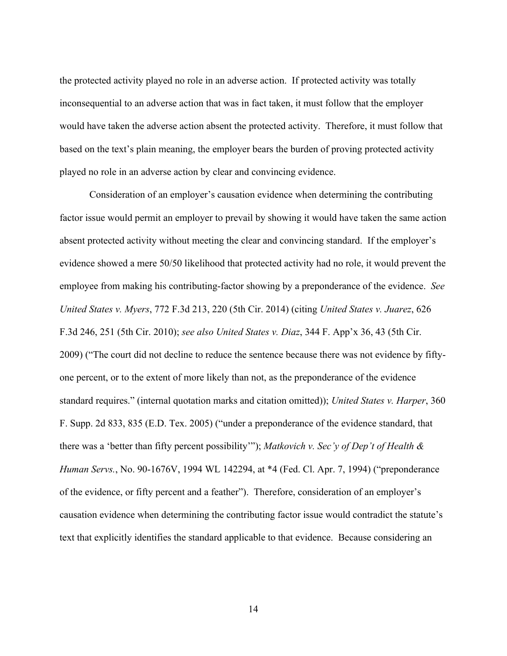the protected activity played no role in an adverse action. If protected activity was totally inconsequential to an adverse action that was in fact taken, it must follow that the employer would have taken the adverse action absent the protected activity. Therefore, it must follow that based on the text's plain meaning, the employer bears the burden of proving protected activity played no role in an adverse action by clear and convincing evidence.

Consideration of an employer's causation evidence when determining the contributing factor issue would permit an employer to prevail by showing it would have taken the same action absent protected activity without meeting the clear and convincing standard. If the employer's evidence showed a mere 50/50 likelihood that protected activity had no role, it would prevent the employee from making his contributing-factor showing by a preponderance of the evidence. *See United States v. Myers*, 772 F.3d 213, 220 (5th Cir. 2014) (citing *United States v. Juarez*, 626 F.3d 246, 251 (5th Cir. 2010); *see also United States v. Diaz*, 344 F. App'x 36, 43 (5th Cir. 2009) ("The court did not decline to reduce the sentence because there was not evidence by fiftyone percent, or to the extent of more likely than not, as the preponderance of the evidence standard requires." (internal quotation marks and citation omitted)); *United States v. Harper*, 360 F. Supp. 2d 833, 835 (E.D. Tex. 2005) ("under a preponderance of the evidence standard, that there was a 'better than fifty percent possibility'"); *Matkovich v. Sec'y of Dep't of Health & Human Servs.*, No. 90-1676V, 1994 WL 142294, at \*4 (Fed. Cl. Apr. 7, 1994) ("preponderance of the evidence, or fifty percent and a feather"). Therefore, consideration of an employer's causation evidence when determining the contributing factor issue would contradict the statute's text that explicitly identifies the standard applicable to that evidence. Because considering an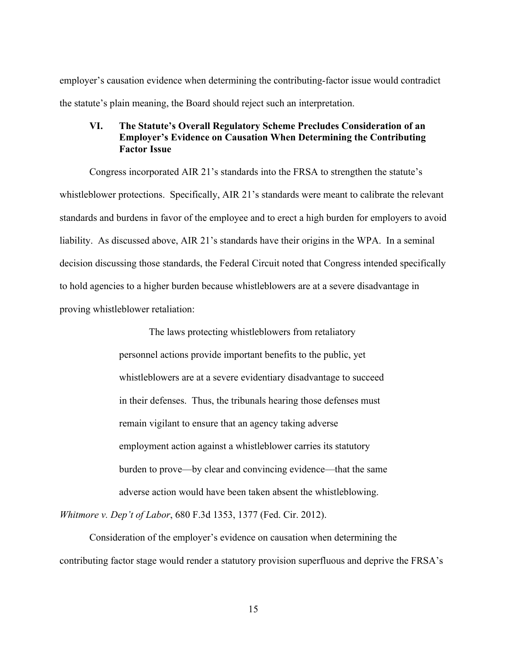employer's causation evidence when determining the contributing-factor issue would contradict the statute's plain meaning, the Board should reject such an interpretation.

## **VI. The Statute's Overall Regulatory Scheme Precludes Consideration of an Employer's Evidence on Causation When Determining the Contributing Factor Issue**

Congress incorporated AIR 21's standards into the FRSA to strengthen the statute's whistleblower protections. Specifically, AIR 21's standards were meant to calibrate the relevant standards and burdens in favor of the employee and to erect a high burden for employers to avoid liability. As discussed above, AIR 21's standards have their origins in the WPA. In a seminal decision discussing those standards, the Federal Circuit noted that Congress intended specifically to hold agencies to a higher burden because whistleblowers are at a severe disadvantage in proving whistleblower retaliation:

> The laws protecting whistleblowers from retaliatory personnel actions provide important benefits to the public, yet whistleblowers are at a severe evidentiary disadvantage to succeed in their defenses. Thus, the tribunals hearing those defenses must remain vigilant to ensure that an agency taking adverse employment action against a whistleblower carries its statutory burden to prove—by clear and convincing evidence—that the same adverse action would have been taken absent the whistleblowing.

*Whitmore v. Dep't of Labor*, 680 F.3d 1353, 1377 (Fed. Cir. 2012).

Consideration of the employer's evidence on causation when determining the contributing factor stage would render a statutory provision superfluous and deprive the FRSA's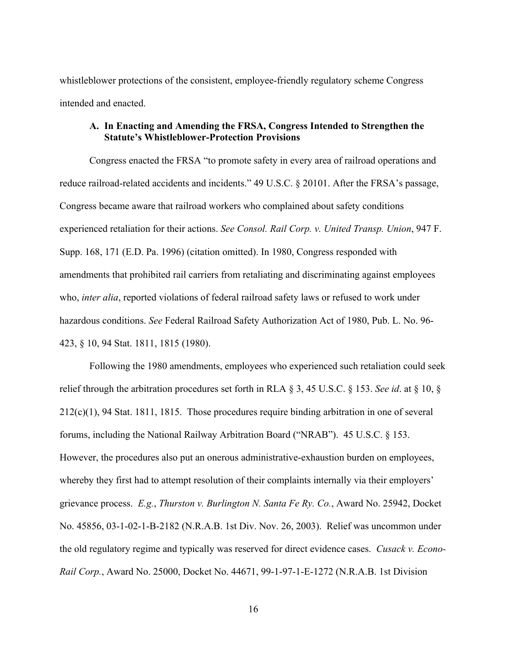whistleblower protections of the consistent, employee-friendly regulatory scheme Congress intended and enacted.

#### **A. In Enacting and Amending the FRSA, Congress Intended to Strengthen the Statute's Whistleblower-Protection Provisions**

Congress enacted the FRSA "to promote safety in every area of railroad operations and reduce railroad-related accidents and incidents." 49 U.S.C. § 20101. After the FRSA's passage, Congress became aware that railroad workers who complained about safety conditions experienced retaliation for their actions. *See Consol. Rail Corp. v. United Transp. Union*, 947 F. Supp. 168, 171 (E.D. Pa. 1996) (citation omitted). In 1980, Congress responded with amendments that prohibited rail carriers from retaliating and discriminating against employees who, *inter alia*, reported violations of federal railroad safety laws or refused to work under hazardous conditions. *See* Federal Railroad Safety Authorization Act of 1980, Pub. L. No. 96- 423, § 10, 94 Stat. 1811, 1815 (1980).

Following the 1980 amendments, employees who experienced such retaliation could seek relief through the arbitration procedures set forth in RLA § 3, 45 U.S.C. § 153. *See id*. at § 10, § 212(c)(1), 94 Stat. 1811, 1815. Those procedures require binding arbitration in one of several forums, including the National Railway Arbitration Board ("NRAB"). 45 U.S.C. § 153. However, the procedures also put an onerous administrative-exhaustion burden on employees, whereby they first had to attempt resolution of their complaints internally via their employers' grievance process. *E.g.*, *Thurston v. Burlington N. Santa Fe Ry. Co.*, Award No. 25942, Docket No. 45856, 03-1-02-1-B-2182 (N.R.A.B. 1st Div. Nov. 26, 2003). Relief was uncommon under the old regulatory regime and typically was reserved for direct evidence cases. *Cusack v. Econo-Rail Corp.*, Award No. 25000, Docket No. 44671, 99-1-97-1-E-1272 (N.R.A.B. 1st Division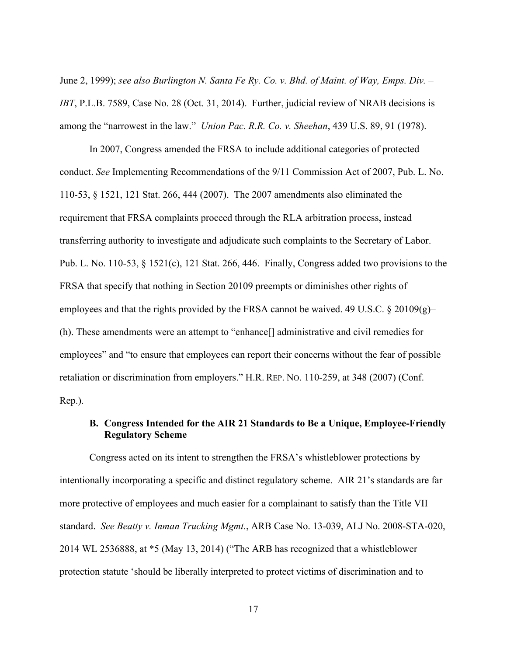June 2, 1999); *see also Burlington N. Santa Fe Ry. Co. v. Bhd. of Maint. of Way, Emps. Div. – IBT*, P.L.B. 7589, Case No. 28 (Oct. 31, 2014). Further, judicial review of NRAB decisions is among the "narrowest in the law." *Union Pac. R.R. Co. v. Sheehan*, 439 U.S. 89, 91 (1978).

In 2007, Congress amended the FRSA to include additional categories of protected conduct. *See* Implementing Recommendations of the 9/11 Commission Act of 2007, Pub. L. No. 110-53, § 1521, 121 Stat. 266, 444 (2007). The 2007 amendments also eliminated the requirement that FRSA complaints proceed through the RLA arbitration process, instead transferring authority to investigate and adjudicate such complaints to the Secretary of Labor. Pub. L. No. 110-53, § 1521(c), 121 Stat. 266, 446. Finally, Congress added two provisions to the FRSA that specify that nothing in Section 20109 preempts or diminishes other rights of employees and that the rights provided by the FRSA cannot be waived. 49 U.S.C. § 20109(g)– (h). These amendments were an attempt to "enhance[] administrative and civil remedies for employees" and "to ensure that employees can report their concerns without the fear of possible retaliation or discrimination from employers." H.R. REP. NO. 110-259, at 348 (2007) (Conf. Rep.).

## **B. Congress Intended for the AIR 21 Standards to Be a Unique, Employee-Friendly Regulatory Scheme**

Congress acted on its intent to strengthen the FRSA's whistleblower protections by intentionally incorporating a specific and distinct regulatory scheme. AIR 21's standards are far more protective of employees and much easier for a complainant to satisfy than the Title VII standard. *See Beatty v. Inman Trucking Mgmt.*, ARB Case No. 13-039, ALJ No. 2008-STA-020, 2014 WL 2536888, at \*5 (May 13, 2014) ("The ARB has recognized that a whistleblower protection statute 'should be liberally interpreted to protect victims of discrimination and to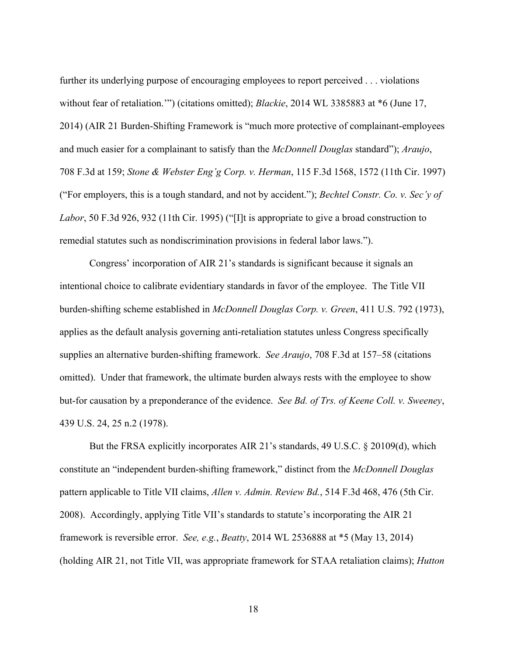further its underlying purpose of encouraging employees to report perceived . . . violations without fear of retaliation.'") (citations omitted); *Blackie*, 2014 WL 3385883 at \*6 (June 17, 2014) (AIR 21 Burden-Shifting Framework is "much more protective of complainant-employees and much easier for a complainant to satisfy than the *McDonnell Douglas* standard"); *Araujo*, 708 F.3d at 159; *Stone & Webster Eng'g Corp. v. Herman*, 115 F.3d 1568, 1572 (11th Cir. 1997) ("For employers, this is a tough standard, and not by accident."); *Bechtel Constr. Co. v. Sec'y of Labor*, 50 F.3d 926, 932 (11th Cir. 1995) ("[I]t is appropriate to give a broad construction to remedial statutes such as nondiscrimination provisions in federal labor laws.").

Congress' incorporation of AIR 21's standards is significant because it signals an intentional choice to calibrate evidentiary standards in favor of the employee. The Title VII burden-shifting scheme established in *McDonnell Douglas Corp. v. Green*, 411 U.S. 792 (1973), applies as the default analysis governing anti-retaliation statutes unless Congress specifically supplies an alternative burden-shifting framework. *See Araujo*, 708 F.3d at 157–58 (citations omitted). Under that framework, the ultimate burden always rests with the employee to show but-for causation by a preponderance of the evidence. *See Bd. of Trs. of Keene Coll. v. Sweeney*, 439 U.S. 24, 25 n.2 (1978).

But the FRSA explicitly incorporates AIR 21's standards, 49 U.S.C. § 20109(d), which constitute an "independent burden-shifting framework," distinct from the *McDonnell Douglas*  pattern applicable to Title VII claims, *Allen v. Admin. Review Bd.*, 514 F.3d 468, 476 (5th Cir. 2008). Accordingly, applying Title VII's standards to statute's incorporating the AIR 21 framework is reversible error. *See, e.g.*, *Beatty*, 2014 WL 2536888 at \*5 (May 13, 2014) (holding AIR 21, not Title VII, was appropriate framework for STAA retaliation claims); *Hutton*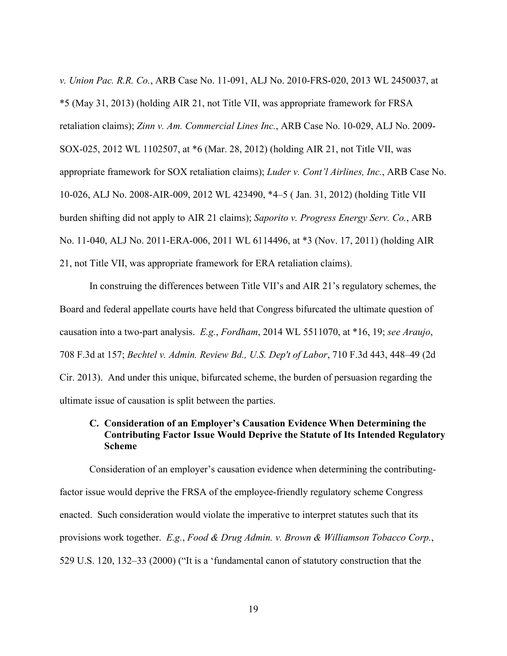*v. Union Pac. R.R. Co.*, ARB Case No. 11-091, ALJ No. 2010-FRS-020, 2013 WL 2450037, at \*5 (May 31, 2013) (holding AIR 21, not Title VII, was appropriate framework for FRSA retaliation claims); *Zinn v. Am. Commercial Lines Inc.*, ARB Case No. 10-029, ALJ No. 2009- SOX-025, 2012 WL 1102507, at \*6 (Mar. 28, 2012) (holding AIR 21, not Title VII, was appropriate framework for SOX retaliation claims); *Luder v. Cont'l Airlines, Inc.*, ARB Case No. 10-026, ALJ No. 2008-AIR-009, 2012 WL 423490, \*4–5 ( Jan. 31, 2012) (holding Title VII burden shifting did not apply to AIR 21 claims); *Saporito v. Progress Energy Serv. Co.*, ARB No. 11-040, ALJ No. 2011-ERA-006, 2011 WL 6114496, at \*3 (Nov. 17, 2011) (holding AIR 21, not Title VII, was appropriate framework for ERA retaliation claims).

In construing the differences between Title VII's and AIR 21's regulatory schemes, the Board and federal appellate courts have held that Congress bifurcated the ultimate question of causation into a two-part analysis. *E.g.*, *Fordham*, 2014 WL 5511070, at \*16, 19; *see Araujo*, 708 F.3d at 157; *Bechtel v. Admin. Review Bd., U.S. Dep't of Labor*, 710 F.3d 443, 448–49 (2d Cir. 2013). And under this unique, bifurcated scheme, the burden of persuasion regarding the ultimate issue of causation is split between the parties.

## **C. Consideration of an Employer's Causation Evidence When Determining the Contributing Factor Issue Would Deprive the Statute of Its Intended Regulatory Scheme**

Consideration of an employer's causation evidence when determining the contributingfactor issue would deprive the FRSA of the employee-friendly regulatory scheme Congress enacted. Such consideration would violate the imperative to interpret statutes such that its provisions work together. *E.g.*, *Food & Drug Admin. v. Brown & Williamson Tobacco Corp.*, 529 U.S. 120, 132–33 (2000) ("It is a 'fundamental canon of statutory construction that the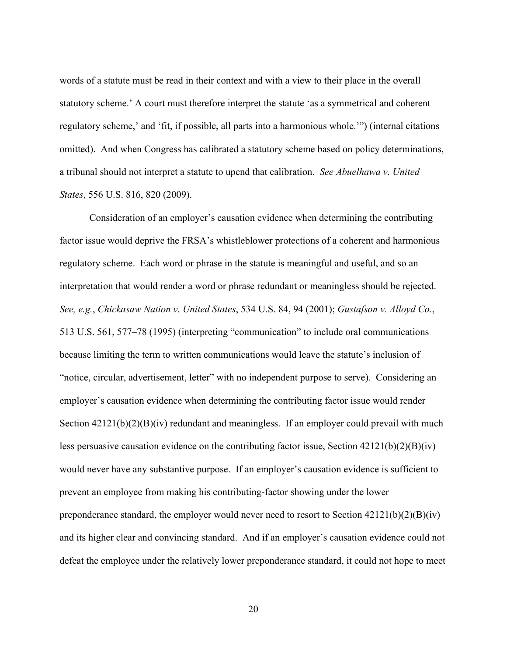words of a statute must be read in their context and with a view to their place in the overall statutory scheme.' A court must therefore interpret the statute 'as a symmetrical and coherent regulatory scheme,' and 'fit, if possible, all parts into a harmonious whole.'") (internal citations omitted). And when Congress has calibrated a statutory scheme based on policy determinations, a tribunal should not interpret a statute to upend that calibration. *See Abuelhawa v. United States*, 556 U.S. 816, 820 (2009).

Consideration of an employer's causation evidence when determining the contributing factor issue would deprive the FRSA's whistleblower protections of a coherent and harmonious regulatory scheme. Each word or phrase in the statute is meaningful and useful, and so an interpretation that would render a word or phrase redundant or meaningless should be rejected. *See, e.g.*, *Chickasaw Nation v. United States*, 534 U.S. 84, 94 (2001); *Gustafson v. Alloyd Co.*, 513 U.S. 561, 577–78 (1995) (interpreting "communication" to include oral communications because limiting the term to written communications would leave the statute's inclusion of "notice, circular, advertisement, letter" with no independent purpose to serve). Considering an employer's causation evidence when determining the contributing factor issue would render Section  $42121(b)(2)(B)(iv)$  redundant and meaningless. If an employer could prevail with much less persuasive causation evidence on the contributing factor issue, Section 42121(b)(2)(B)(iv) would never have any substantive purpose. If an employer's causation evidence is sufficient to prevent an employee from making his contributing-factor showing under the lower preponderance standard, the employer would never need to resort to Section  $42121(b)(2)(B)(iv)$ and its higher clear and convincing standard. And if an employer's causation evidence could not defeat the employee under the relatively lower preponderance standard, it could not hope to meet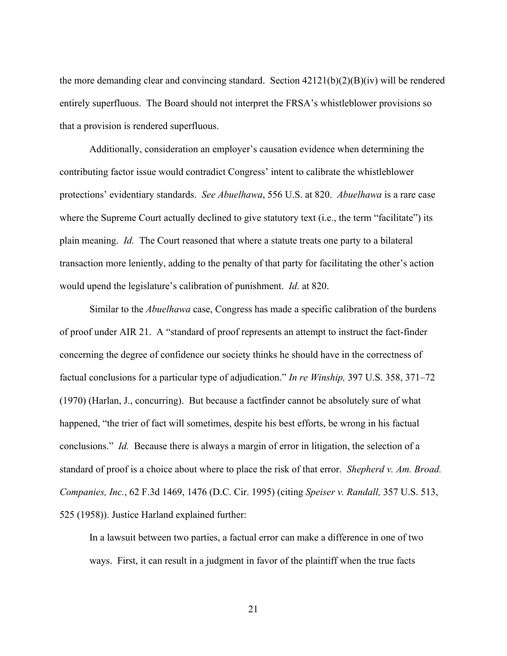the more demanding clear and convincing standard. Section 42121(b)(2)(B)(iv) will be rendered entirely superfluous. The Board should not interpret the FRSA's whistleblower provisions so that a provision is rendered superfluous.

Additionally, consideration an employer's causation evidence when determining the contributing factor issue would contradict Congress' intent to calibrate the whistleblower protections' evidentiary standards. *See Abuelhawa*, 556 U.S. at 820. *Abuelhawa* is a rare case where the Supreme Court actually declined to give statutory text (i.e., the term "facilitate") its plain meaning. *Id.* The Court reasoned that where a statute treats one party to a bilateral transaction more leniently, adding to the penalty of that party for facilitating the other's action would upend the legislature's calibration of punishment. *Id.* at 820.

Similar to the *Abuelhawa* case, Congress has made a specific calibration of the burdens of proof under AIR 21. A "standard of proof represents an attempt to instruct the fact-finder concerning the degree of confidence our society thinks he should have in the correctness of factual conclusions for a particular type of adjudication." *In re Winship,* 397 U.S. 358, 371–72 (1970) (Harlan, J., concurring). But because a factfinder cannot be absolutely sure of what happened, "the trier of fact will sometimes, despite his best efforts, be wrong in his factual conclusions." *Id.* Because there is always a margin of error in litigation, the selection of a standard of proof is a choice about where to place the risk of that error. *Shepherd v. Am. Broad. Companies, Inc.*, 62 F.3d 1469, 1476 (D.C. Cir. 1995) (citing *Speiser v. Randall,* 357 U.S. 513, 525 (1958)). Justice Harland explained further:

In a lawsuit between two parties, a factual error can make a difference in one of two ways. First, it can result in a judgment in favor of the plaintiff when the true facts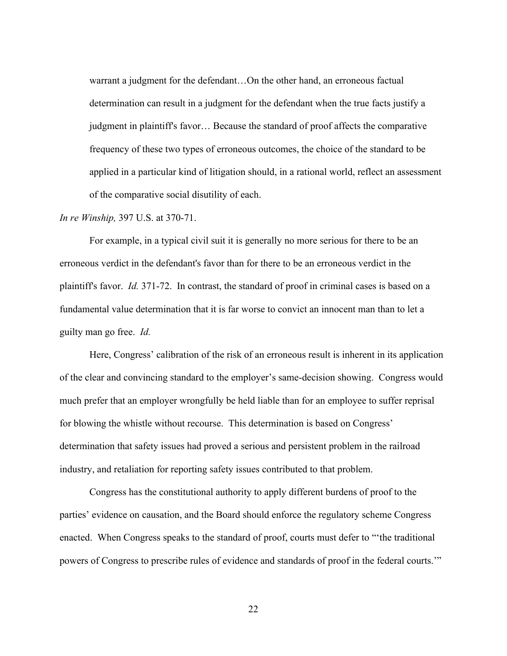warrant a judgment for the defendant…On the other hand, an erroneous factual determination can result in a judgment for the defendant when the true facts justify a judgment in plaintiff's favor… Because the standard of proof affects the comparative frequency of these two types of erroneous outcomes, the choice of the standard to be applied in a particular kind of litigation should, in a rational world, reflect an assessment of the comparative social disutility of each.

#### *In re Winship,* 397 U.S. at 370-71.

For example, in a typical civil suit it is generally no more serious for there to be an erroneous verdict in the defendant's favor than for there to be an erroneous verdict in the plaintiff's favor. *Id.* 371-72. In contrast, the standard of proof in criminal cases is based on a fundamental value determination that it is far worse to convict an innocent man than to let a guilty man go free. *Id.* 

Here, Congress' calibration of the risk of an erroneous result is inherent in its application of the clear and convincing standard to the employer's same-decision showing. Congress would much prefer that an employer wrongfully be held liable than for an employee to suffer reprisal for blowing the whistle without recourse. This determination is based on Congress' determination that safety issues had proved a serious and persistent problem in the railroad industry, and retaliation for reporting safety issues contributed to that problem.

Congress has the constitutional authority to apply different burdens of proof to the parties' evidence on causation, and the Board should enforce the regulatory scheme Congress enacted. When Congress speaks to the standard of proof, courts must defer to "'the traditional powers of Congress to prescribe rules of evidence and standards of proof in the federal courts.'"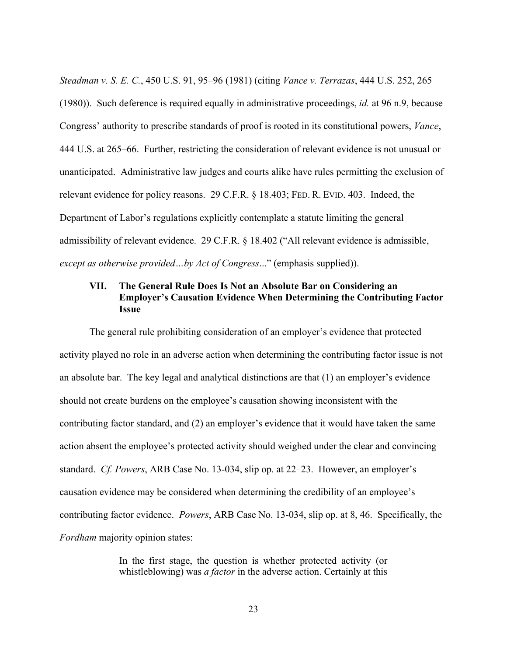*Steadman v. S. E. C.*, 450 U.S. 91, 95–96 (1981) (citing *Vance v. Terrazas*, 444 U.S. 252, 265 (1980)). Such deference is required equally in administrative proceedings, *id.* at 96 n.9, because Congress' authority to prescribe standards of proof is rooted in its constitutional powers, *Vance*, 444 U.S. at 265–66. Further, restricting the consideration of relevant evidence is not unusual or unanticipated. Administrative law judges and courts alike have rules permitting the exclusion of relevant evidence for policy reasons. 29 C.F.R. § 18.403; FED. R. EVID. 403. Indeed, the Department of Labor's regulations explicitly contemplate a statute limiting the general admissibility of relevant evidence. 29 C.F.R. § 18.402 ("All relevant evidence is admissible, *except as otherwise provided…by Act of Congress*..." (emphasis supplied)).

### **VII. The General Rule Does Is Not an Absolute Bar on Considering an Employer's Causation Evidence When Determining the Contributing Factor Issue**

The general rule prohibiting consideration of an employer's evidence that protected activity played no role in an adverse action when determining the contributing factor issue is not an absolute bar. The key legal and analytical distinctions are that (1) an employer's evidence should not create burdens on the employee's causation showing inconsistent with the contributing factor standard, and (2) an employer's evidence that it would have taken the same action absent the employee's protected activity should weighed under the clear and convincing standard. *Cf. Powers*, ARB Case No. 13-034, slip op. at 22–23. However, an employer's causation evidence may be considered when determining the credibility of an employee's contributing factor evidence. *Powers*, ARB Case No. 13-034, slip op. at 8, 46. Specifically, the *Fordham* majority opinion states:

> In the first stage, the question is whether protected activity (or whistleblowing) was *a factor* in the adverse action. Certainly at this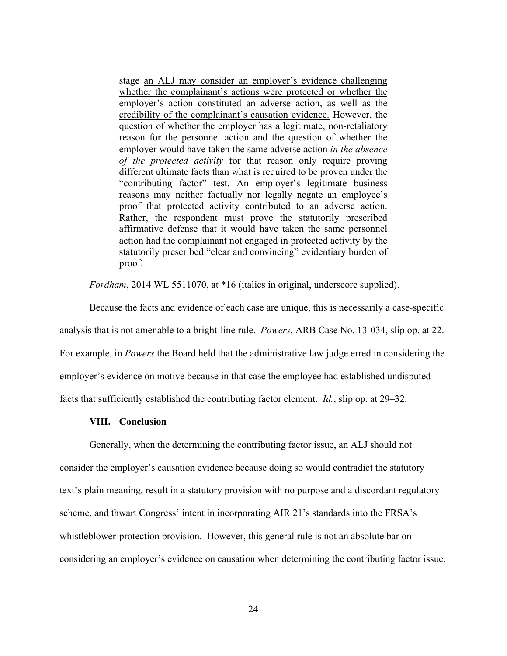stage an ALJ may consider an employer's evidence challenging whether the complainant's actions were protected or whether the employer's action constituted an adverse action, as well as the credibility of the complainant's causation evidence. However, the question of whether the employer has a legitimate, non-retaliatory reason for the personnel action and the question of whether the employer would have taken the same adverse action *in the absence of the protected activity* for that reason only require proving different ultimate facts than what is required to be proven under the "contributing factor" test. An employer's legitimate business reasons may neither factually nor legally negate an employee's proof that protected activity contributed to an adverse action. Rather, the respondent must prove the statutorily prescribed affirmative defense that it would have taken the same personnel action had the complainant not engaged in protected activity by the statutorily prescribed "clear and convincing" evidentiary burden of proof.

*Fordham*, 2014 WL 5511070, at \*16 (italics in original, underscore supplied).

Because the facts and evidence of each case are unique, this is necessarily a case-specific analysis that is not amenable to a bright-line rule. *Powers*, ARB Case No. 13-034, slip op. at 22. For example, in *Powers* the Board held that the administrative law judge erred in considering the employer's evidence on motive because in that case the employee had established undisputed facts that sufficiently established the contributing factor element. *Id.*, slip op. at 29–32.

#### **VIII. Conclusion**

Generally, when the determining the contributing factor issue, an ALJ should not consider the employer's causation evidence because doing so would contradict the statutory text's plain meaning, result in a statutory provision with no purpose and a discordant regulatory scheme, and thwart Congress' intent in incorporating AIR 21's standards into the FRSA's whistleblower-protection provision. However, this general rule is not an absolute bar on considering an employer's evidence on causation when determining the contributing factor issue.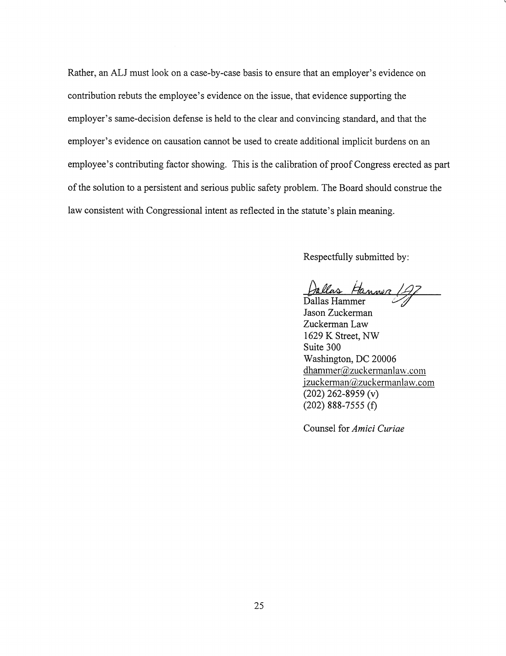Rather, an ALJ must look on a case-by-case basis to ensure that an employer's evidence on contribution rebuts the employee's evidence on the issue, that evidence supporting the employer's same-decision defense is held to the clear and convincing standard, and that the employer's evidence on causation cannot be used to create additional implicit burdens on an employee's contributing factor showing. This is the calibration of proof Congress erected as part of the solution to a persistent and serious public safety problem. The Board should construe the law consistent with Congressional intent as reflected in the statute's plain meaning.

Respectfully submitted by:

Dallas Hanner 19

Dallas Hammer Jason Zuckerman Zuckerman Law 1629 K Street, NW Suite 300 Washington, DC 20006 dhammer@zuckermanlaw.com jzuckerman@zuckermanlaw.com  $(202)$  262-8959 (v)  $(202)$  888-7555 (f)

Counsel for Amici Curiae